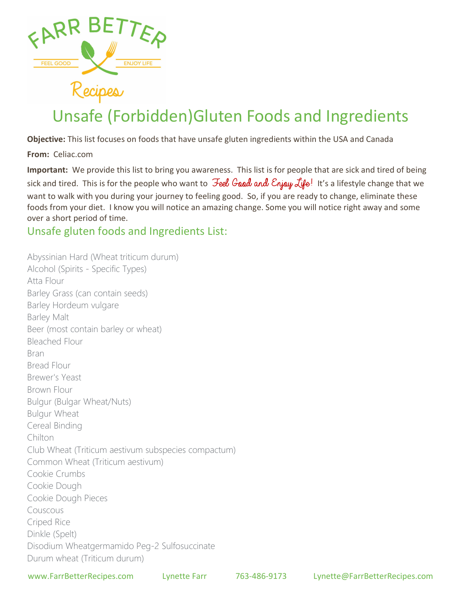

## Unsafe (Forbidden)Gluten Foods and Ingredients

Objective: This list focuses on foods that have unsafe gluten ingredients within the USA and Canada

From: Celiac.com

Important: We provide this list to bring you awareness. This list is for people that are sick and tired of being sick and tired. This is for the people who want to  $\mathcal{F}$ eel Good and Enjou Life! It's a lifestyle change that we want to walk with you during your journey to feeling good. So, if you are ready to change, eliminate these foods from your diet. I know you will notice an amazing change. Some you will notice right away and some over a short period of time.

Unsafe gluten foods and Ingredients List:

Abyssinian Hard (Wheat triticum durum) Alcohol (Spirits - Specific Types) Atta Flour Barley Grass (can contain seeds) Barley Hordeum vulgare Barley Malt Beer (most contain barley or wheat) Bleached Flour Bran Bread Flour Brewer's Yeast Brown Flour Bulgur (Bulgar Wheat/Nuts) Bulgur Wheat Cereal Binding Chilton Club Wheat (Triticum aestivum subspecies compactum) Common Wheat (Triticum aestivum) Cookie Crumbs Cookie Dough Cookie Dough Pieces Couscous Criped Rice Dinkle (Spelt) Disodium Wheatgermamido Peg-2 Sulfosuccinate Durum wheat (Triticum durum)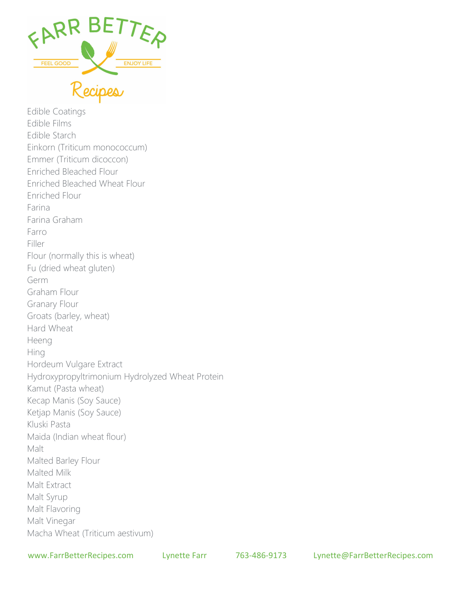

Edible Coatings Edible Films Edible Starch Einkorn (Triticum monococcum) Emmer (Triticum dicoccon) Enriched Bleached Flour Enriched Bleached Wheat Flour Enriched Flour Farina Farina Graham Farro Filler Flour (normally this is wheat) Fu (dried wheat gluten) Germ Graham Flour Granary Flour Groats (barley, wheat) Hard Wheat Heeng Hing Hordeum Vulgare Extract Hydroxypropyltrimonium Hydrolyzed Wheat Protein Kamut (Pasta wheat) Kecap Manis (Soy Sauce) Ketjap Manis (Soy Sauce) Kluski Pasta Maida (Indian wheat flour) Malt Malted Barley Flour Malted Milk Malt Extract Malt Syrup Malt Flavoring Malt Vinegar Macha Wheat (Triticum aestivum)

www.FarrBetterRecipes.com Lynette Farr 763-486-9173 Lynette@FarrBetterRecipes.com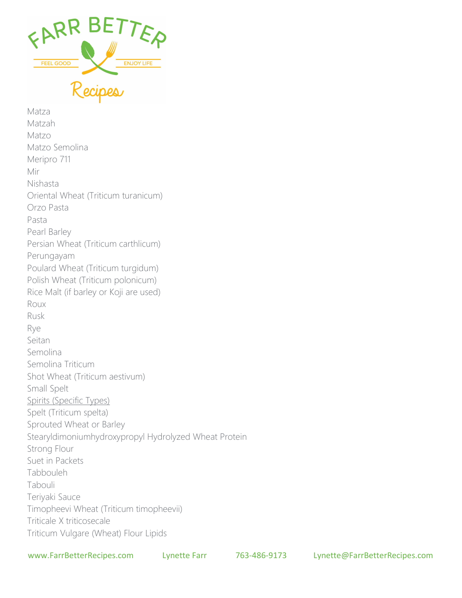

Matza Matzah Matzo Matzo Semolina Meripro 711 Mir Nishasta Oriental Wheat (Triticum turanicum) Orzo Pasta Pasta Pearl Barley Persian Wheat (Triticum carthlicum) Perungayam Poulard Wheat (Triticum turgidum) Polish Wheat (Triticum polonicum) Rice Malt (if barley or Koji are used) Roux Rusk Rye Seitan Semolina Semolina Triticum Shot Wheat (Triticum aestivum) Small Spelt Spirits (Specific Types) Spelt (Triticum spelta) Sprouted Wheat or Barley Stearyldimoniumhydroxypropyl Hydrolyzed Wheat Protein Strong Flour Suet in Packets Tabbouleh Tabouli Teriyaki Sauce Timopheevi Wheat (Triticum timopheevii) Triticale X triticosecale Triticum Vulgare (Wheat) Flour Lipids

www.FarrBetterRecipes.com Lynette Farr 763-486-9173 Lynette@FarrBetterRecipes.com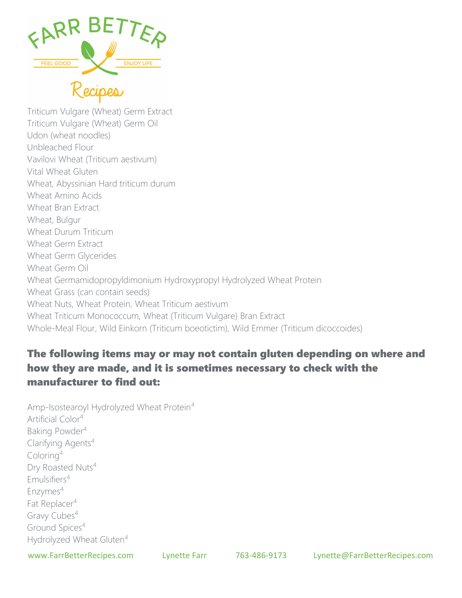

Triticum Vulgare (Wheat) Germ Extract Triticum Vulgare (Wheat) Germ Oil Udon (wheat noodles) Unbleached Flour Vavilovi Wheat (Triticum aestivum) Vital Wheat Gluten Wheat, Abyssinian Hard triticum durum Wheat Amino Acids Wheat Bran Extract Wheat, Bulgur Wheat Durum Triticum Wheat Germ Extract Wheat Germ Glycerides Wheat Germ Oil Wheat Germamidopropyldimonium Hydroxypropyl Hydrolyzed Wheat Protein Wheat Grass (can contain seeds) Wheat Nuts, Wheat Protein, Wheat Triticum aestivum Wheat Triticum Monococcum, Wheat (Triticum Vulgare) Bran Extract Whole-Meal Flour, Wild Einkorn (Triticum boeotictim), Wild Emmer (Triticum dicoccoides)

## The following items may or may not contain gluten depending on where and how they are made, and it is sometimes necessary to check with the manufacturer to find out:

Amp-Isostearoyl Hydrolyzed Wheat Protein<sup>4</sup> Artificial Color<sup>4</sup> Baking Powder<sup>4</sup> Clarifying Agents<sup>4</sup> Coloring<sup>4</sup> Dry Roasted Nuts<sup>4</sup> Emulsifiers<sup>4</sup> Enzymes<sup>4</sup> Fat Replacer<sup>4</sup> Gravy Cubes<sup>4</sup> Ground Spices<sup>4</sup> Hydrolyzed Wheat Gluten<sup>4</sup>